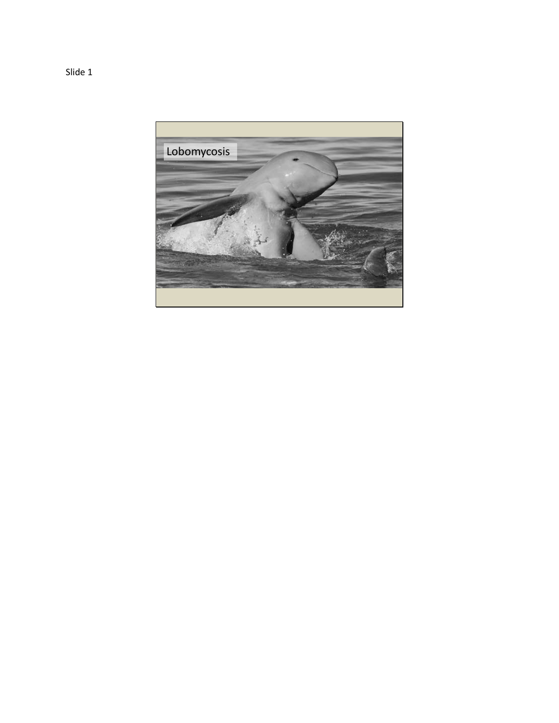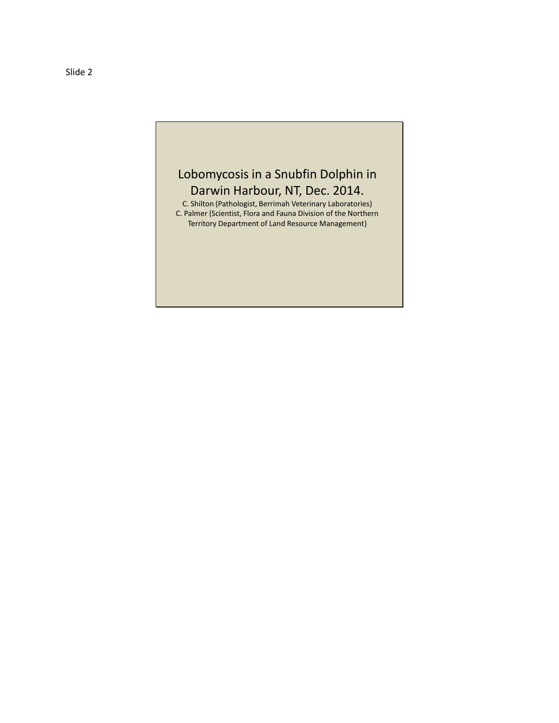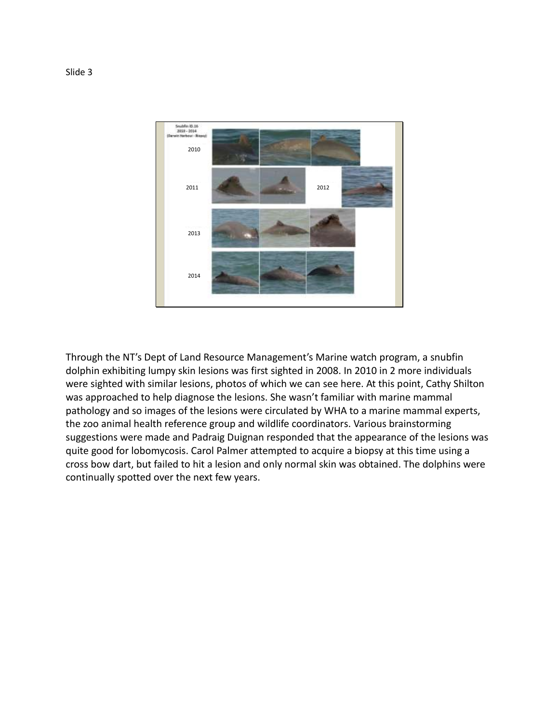

Through the NT's Dept of Land Resource Management's Marine watch program, a snubfin dolphin exhibiting lumpy skin lesions was first sighted in 2008. In 2010 in 2 more individuals were sighted with similar lesions, photos of which we can see here. At this point, Cathy Shilton was approached to help diagnose the lesions. She wasn't familiar with marine mammal pathology and so images of the lesions were circulated by WHA to a marine mammal experts, the zoo animal health reference group and wildlife coordinators. Various brainstorming suggestions were made and Padraig Duignan responded that the appearance of the lesions was quite good for lobomycosis. Carol Palmer attempted to acquire a biopsy at this time using a cross bow dart, but failed to hit a lesion and only normal skin was obtained. The dolphins were continually spotted over the next few years.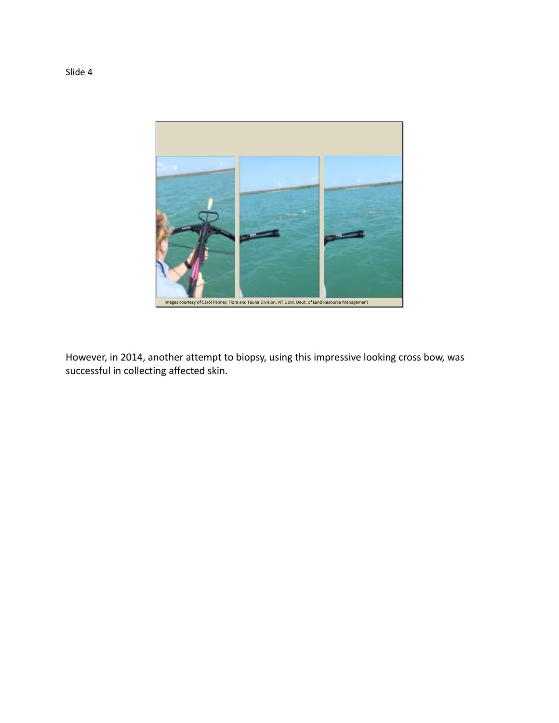

However, in 2014, another attempt to biopsy, using this impressive looking cross bow, was successful in collecting affected skin.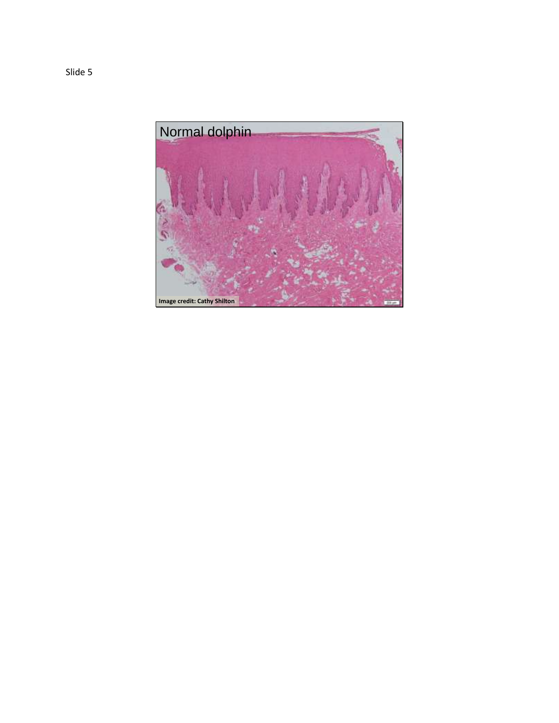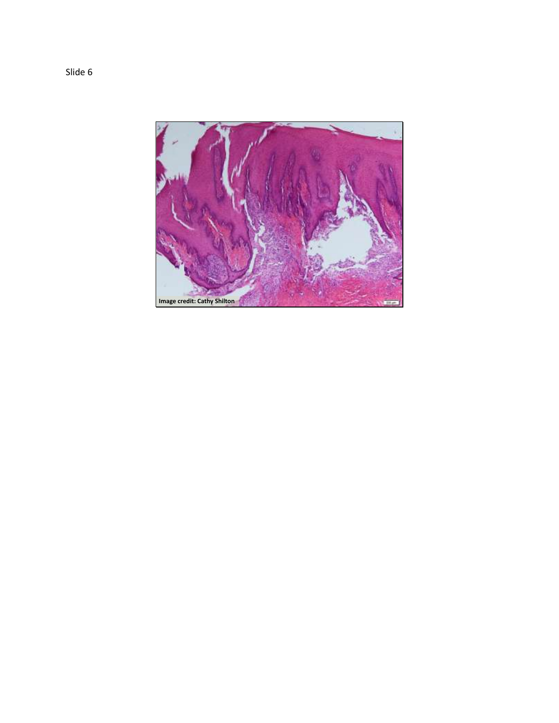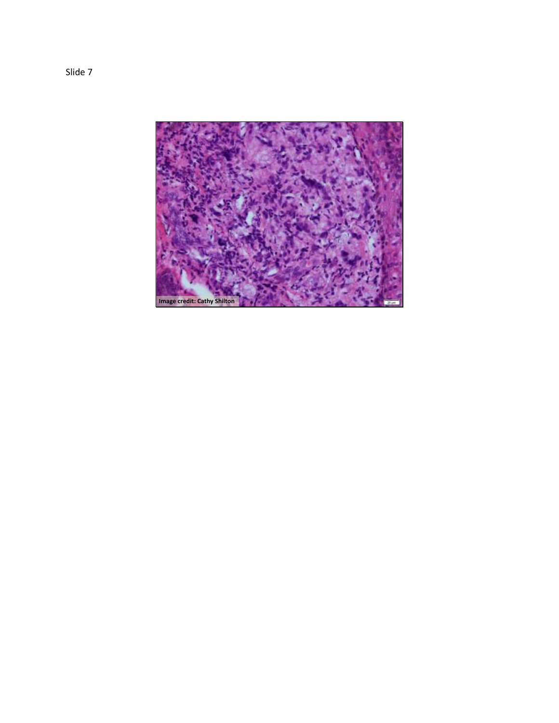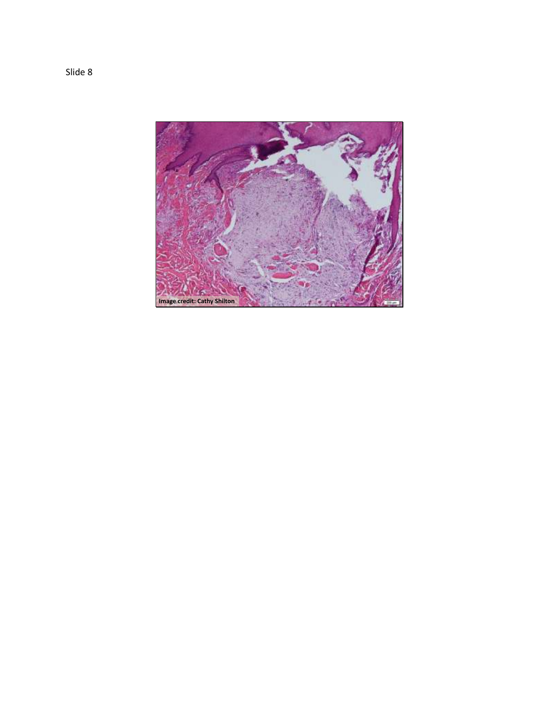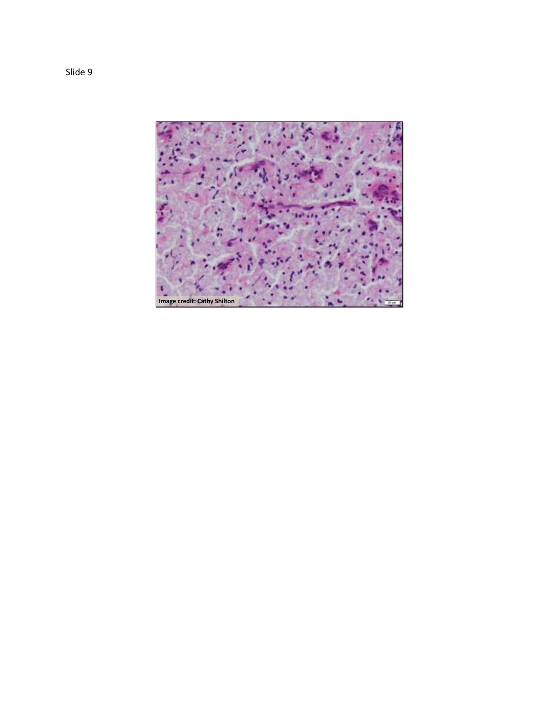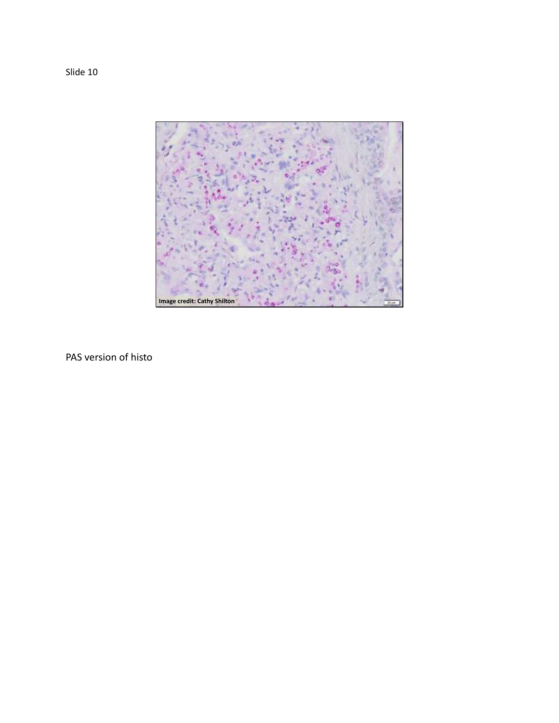Slide 10



PAS version of histo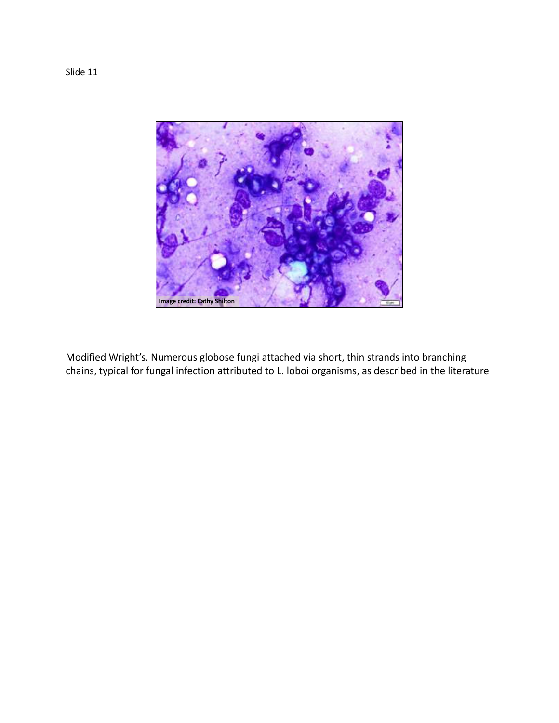

Modified Wright's. Numerous globose fungi attached via short, thin strands into branching chains, typical for fungal infection attributed to L. loboi organisms, as described in the literature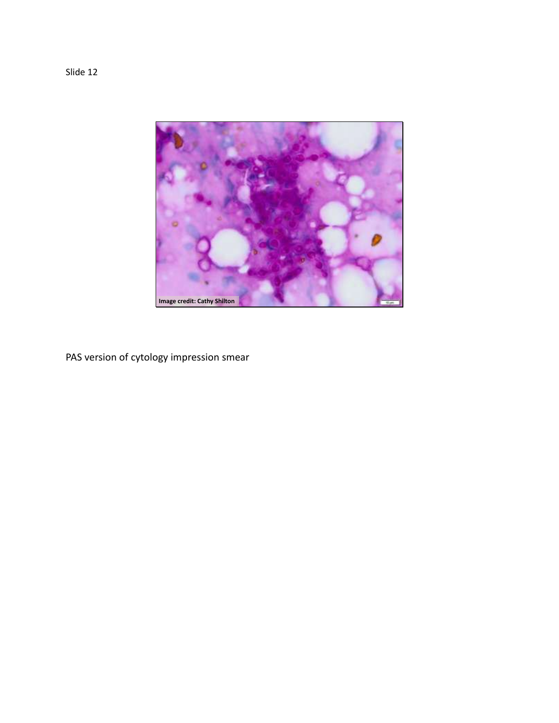

PAS version of cytology impression smear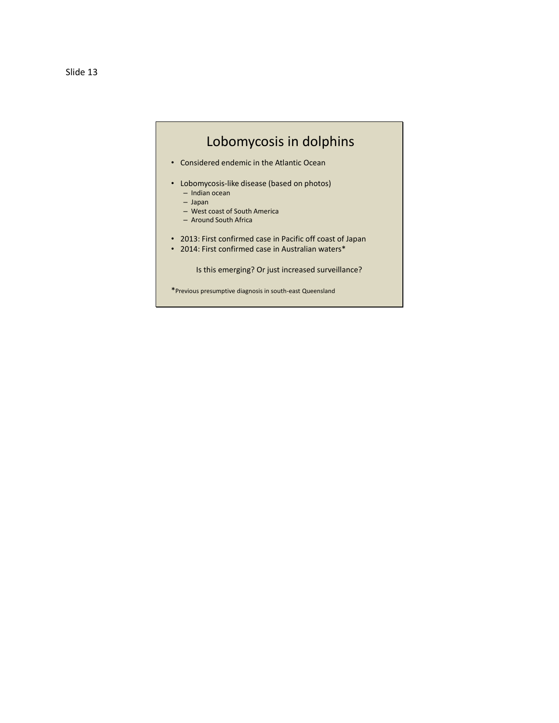## Lobomycosis in dolphins

- Considered endemic in the Atlantic Ocean
- Lobomycosis-like disease (based on photos)
	- Indian ocean – Japan
	-
	- West coast of South America – Around South Africa
	-
- 2013: First confirmed case in Pacific off coast of Japan
- 2014: First confirmed case in Australian waters\*

Is this emerging? Or just increased surveillance?

\*Previous presumptive diagnosis in south-east Queensland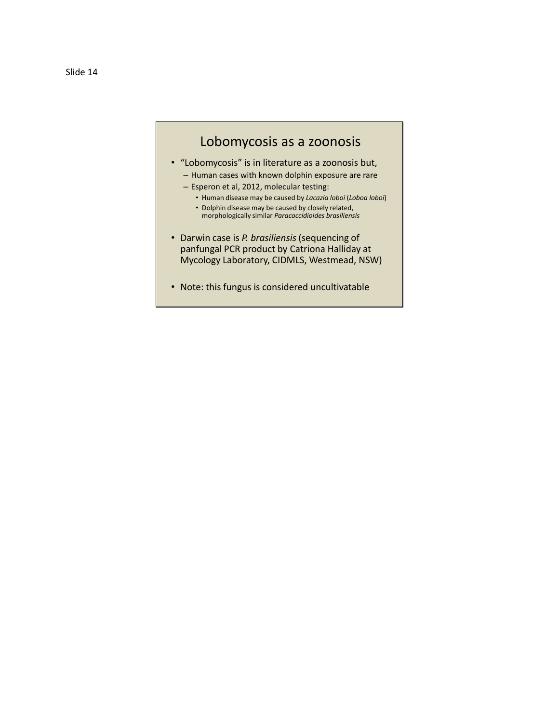## Lobomycosis as a zoonosis

- "Lobomycosis" is in literature as a zoonosis but, – Human cases with known dolphin exposure are rare
	-
	- Esperon et al, 2012, molecular testing:
		- Human disease may be caused by *Lacazia loboi* (*Loboa loboi*)
		- Dolphin disease may be caused by closely related, morphologically similar *Paracoccidioides brasiliensis*
- Darwin case is *P. brasiliensis* (sequencing of panfungal PCR product by Catriona Halliday at Mycology Laboratory, CIDMLS, Westmead, NSW)
- Note: this fungus is considered uncultivatable